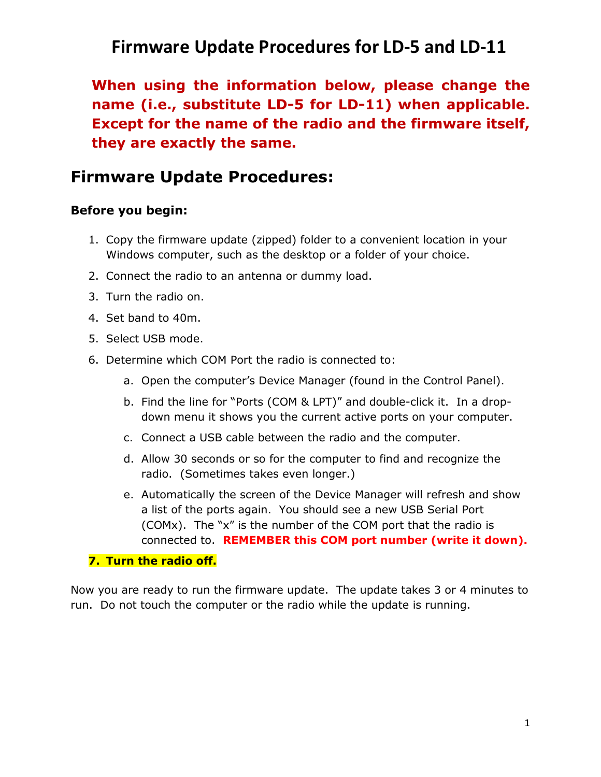### **Firmware Update Procedures for LD-5 and LD-11**

**When using the information below, please change the name (i.e., substitute LD-5 for LD-11) when applicable. Except for the name of the radio and the firmware itself, they are exactly the same.**

### **Firmware Update Procedures:**

### **Before you begin:**

- 1. Copy the firmware update (zipped) folder to a convenient location in your Windows computer, such as the desktop or a folder of your choice.
- 2. Connect the radio to an antenna or dummy load.
- 3. Turn the radio on.
- 4. Set band to 40m.
- 5. Select USB mode.
- 6. Determine which COM Port the radio is connected to:
	- a. Open the computer's Device Manager (found in the Control Panel).
	- b. Find the line for "Ports (COM & LPT)" and double-click it. In a dropdown menu it shows you the current active ports on your computer.
	- c. Connect a USB cable between the radio and the computer.
	- d. Allow 30 seconds or so for the computer to find and recognize the radio. (Sometimes takes even longer.)
	- e. Automatically the screen of the Device Manager will refresh and show a list of the ports again. You should see a new USB Serial Port (COMx). The "x" is the number of the COM port that the radio is connected to. **REMEMBER this COM port number (write it down).**

### **7. Turn the radio off.**

Now you are ready to run the firmware update. The update takes 3 or 4 minutes to run. Do not touch the computer or the radio while the update is running.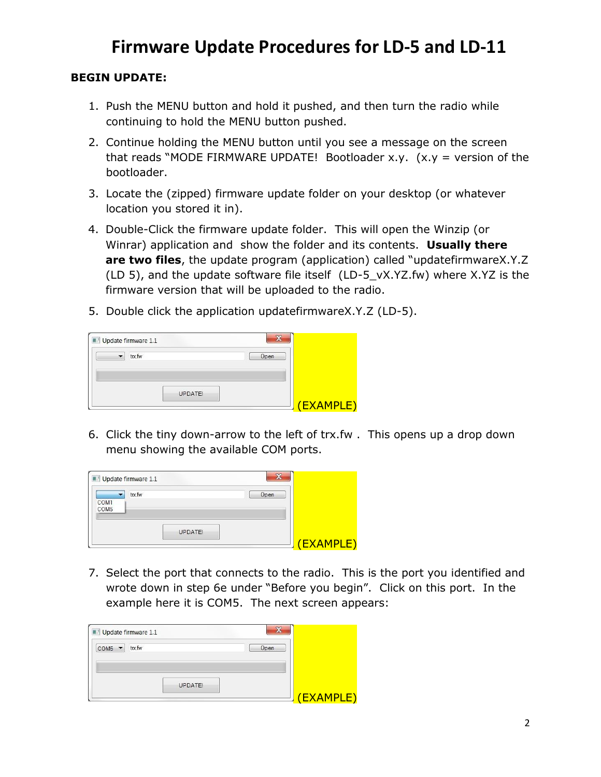# **Firmware Update Procedures for LD-5 and LD-11**

### **BEGIN UPDATE:**

- 1. Push the MENU button and hold it pushed, and then turn the radio while continuing to hold the MENU button pushed.
- 2. Continue holding the MENU button until you see a message on the screen that reads "MODE FIRMWARE UPDATE! Bootloader x.y.  $(x,y =$  version of the bootloader.
- 3. Locate the (zipped) firmware update folder on your desktop (or whatever location you stored it in).
- 4. Double-Click the firmware update folder. This will open the Winzip (or Winrar) application and show the folder and its contents. **Usually there are two files**, the update program (application) called "updatefirmwareX.Y.Z (LD 5), and the update software file itself (LD-5\_vX.YZ.fw) where X.YZ is the firmware version that will be uploaded to the radio.
- 5. Double click the application updatefirmwareX.Y.Z (LD-5).

| Update firmware 1.1            |         |      |  |
|--------------------------------|---------|------|--|
| $\blacktriangledown$<br>trx.fw |         | Open |  |
|                                |         |      |  |
|                                | UPDATE! |      |  |
|                                |         |      |  |

6. Click the tiny down-arrow to the left of trx.fw . This opens up a drop down menu showing the available COM ports.

|      | Update firmware 1.1 |                |      |           |
|------|---------------------|----------------|------|-----------|
| COM1 | trx.fw              |                | Open |           |
| COM5 |                     |                |      |           |
|      |                     | <b>UPDATE!</b> |      |           |
|      |                     |                |      | (EXAMPLE) |

7. Select the port that connects to the radio. This is the port you identified and wrote down in step 6e under "Before you begin". Click on this port. In the example here it is COM5. The next screen appears:

| Update firmware 1.1                                |                |      |  |
|----------------------------------------------------|----------------|------|--|
| trx.fw<br>COM <sub>5</sub><br>$\blacktriangledown$ |                | Open |  |
|                                                    |                |      |  |
|                                                    |                |      |  |
|                                                    | <b>UPDATE!</b> |      |  |